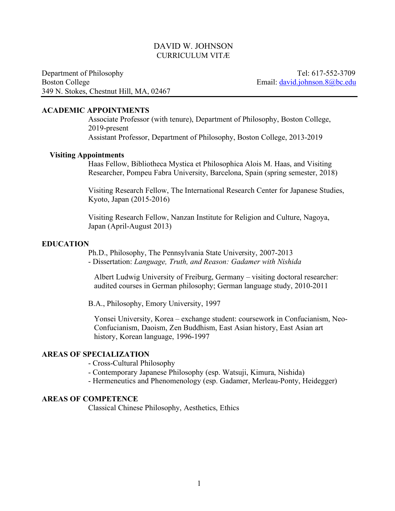# DAVID W. JOHNSON CURRICULUM VITÆ

Department of Philosophy Tel: 617-552-3709 Boston College Email: david.johnson.8@bc.edu 349 N. Stokes, Chestnut Hill, MA, 02467

#### **ACADEMIC APPOINTMENTS**

Associate Professor (with tenure), Department of Philosophy, Boston College, 2019-present Assistant Professor, Department of Philosophy, Boston College, 2013-2019

### **Visiting Appointments**

Haas Fellow, Bibliotheca Mystica et Philosophica Alois M. Haas, and Visiting Researcher, Pompeu Fabra University, Barcelona, Spain (spring semester, 2018)

Visiting Research Fellow, The International Research Center for Japanese Studies, Kyoto, Japan (2015-2016)

Visiting Research Fellow, Nanzan Institute for Religion and Culture, Nagoya, Japan (April-August 2013)

### **EDUCATION**

Ph.D., Philosophy, The Pennsylvania State University, 2007-2013 - Dissertation: *Language, Truth, and Reason: Gadamer with Nishida*

Albert Ludwig University of Freiburg, Germany – visiting doctoral researcher: audited courses in German philosophy; German language study, 2010-2011

B.A., Philosophy, Emory University, 1997

Yonsei University, Korea – exchange student: coursework in Confucianism, Neo-Confucianism, Daoism, Zen Buddhism, East Asian history, East Asian art history, Korean language, 1996-1997

### **AREAS OF SPECIALIZATION**

- Cross-Cultural Philosophy

- Contemporary Japanese Philosophy (esp. Watsuji, Kimura, Nishida)
- Hermeneutics and Phenomenology (esp. Gadamer, Merleau-Ponty, Heidegger)

## **AREAS OF COMPETENCE**

Classical Chinese Philosophy, Aesthetics, Ethics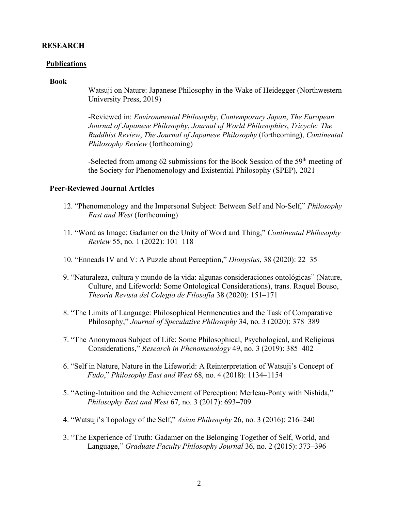### **RESEARCH**

### **Publications**

#### **Book**

Watsuji on Nature: Japanese Philosophy in the Wake of Heidegger (Northwestern University Press, 2019)

-Reviewed in: *Environmental Philosophy*, *Contemporary Japan*, *The European Journal of Japanese Philosophy*, *Journal of World Philosophies*, *Tricycle: The Buddhist Review*, *The Journal of Japanese Philosophy* (forthcoming), *Continental Philosophy Review* (forthcoming)

-Selected from among 62 submissions for the Book Session of the 59<sup>th</sup> meeting of the Society for Phenomenology and Existential Philosophy (SPEP), 2021

# **Peer-Reviewed Journal Articles**

- 12. "Phenomenology and the Impersonal Subject: Between Self and No-Self," *Philosophy East and West* (forthcoming)
- 11. "Word as Image: Gadamer on the Unity of Word and Thing," *Continental Philosophy Review* 55, no. 1 (2022): 101–118
- 10. "Enneads IV and V: A Puzzle about Perception," *Dionysius*, 38 (2020): 22–35
- 9. "Naturaleza, cultura y mundo de la vida: algunas consideraciones ontológicas" (Nature, Culture, and Lifeworld: Some Ontological Considerations), trans. Raquel Bouso, *Theoría Revista del Colegio de Filosofía* 38 (2020): 151–171
- 8. "The Limits of Language: Philosophical Hermeneutics and the Task of Comparative Philosophy," *Journal of Speculative Philosophy* 34, no. 3 (2020): 378–389
- 7. "The Anonymous Subject of Life: Some Philosophical, Psychological, and Religious Considerations," *Research in Phenomenology* 49, no. 3 (2019): 385–402
- 6. "Self in Nature, Nature in the Lifeworld: A Reinterpretation of Watsuji's Concept of *Fūdo*," *Philosophy East and West* 68, no. 4 (2018): 1134–1154
- 5. "Acting-Intuition and the Achievement of Perception: Merleau-Ponty with Nishida," *Philosophy East and West* 67, no. 3 (2017): 693–709
- 4. "Watsuji's Topology of the Self," *Asian Philosophy* 26, no. 3 (2016): 216–240
- 3. "The Experience of Truth: Gadamer on the Belonging Together of Self, World, and Language," *Graduate Faculty Philosophy Journal* 36, no. 2 (2015): 373–396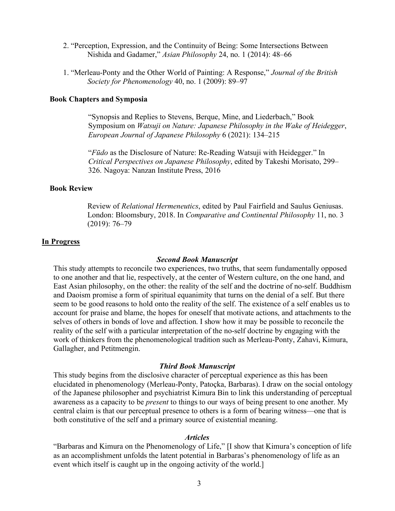- 2. "Perception, Expression, and the Continuity of Being: Some Intersections Between Nishida and Gadamer," *Asian Philosophy* 24, no. 1 (2014): 48–66
- 1. "Merleau-Ponty and the Other World of Painting: A Response," *Journal of the British Society for Phenomenology* 40, no. 1 (2009): 89–97

### **Book Chapters and Symposia**

"Synopsis and Replies to Stevens, Berque, Mine, and Liederbach," Book Symposium on *Watsuji on Nature: Japanese Philosophy in the Wake of Heidegger*, *European Journal of Japanese Philosophy* 6 (2021): 134–215

"*Fūdo* as the Disclosure of Nature: Re-Reading Watsuji with Heidegger." In *Critical Perspectives on Japanese Philosophy*, edited by Takeshi Morisato, 299– 326. Nagoya: Nanzan Institute Press, 2016

## **Book Review**

Review of *Relational Hermeneutics*, edited by Paul Fairfield and Saulus Geniusas. London: Bloomsbury, 2018. In *Comparative and Continental Philosophy* 11, no. 3 (2019): 76–79

#### **In Progress**

#### *Second Book Manuscript*

This study attempts to reconcile two experiences, two truths, that seem fundamentally opposed to one another and that lie, respectively, at the center of Western culture, on the one hand, and East Asian philosophy, on the other: the reality of the self and the doctrine of no-self. Buddhism and Daoism promise a form of spiritual equanimity that turns on the denial of a self. But there seem to be good reasons to hold onto the reality of the self. The existence of a self enables us to account for praise and blame, the hopes for oneself that motivate actions, and attachments to the selves of others in bonds of love and affection. I show how it may be possible to reconcile the reality of the self with a particular interpretation of the no-self doctrine by engaging with the work of thinkers from the phenomenological tradition such as Merleau-Ponty, Zahavi, Kimura, Gallagher, and Petitmengin.

### *Third Book Manuscript*

This study begins from the disclosive character of perceptual experience as this has been elucidated in phenomenology (Merleau-Ponty, Patoçka, Barbaras). I draw on the social ontology of the Japanese philosopher and psychiatrist Kimura Bin to link this understanding of perceptual awareness as a capacity to be *present* to things to our ways of being present to one another. My central claim is that our perceptual presence to others is a form of bearing witness—one that is both constitutive of the self and a primary source of existential meaning.

### *Articles*

"Barbaras and Kimura on the Phenomenology of Life," [I show that Kimura's conception of life as an accomplishment unfolds the latent potential in Barbaras's phenomenology of life as an event which itself is caught up in the ongoing activity of the world.]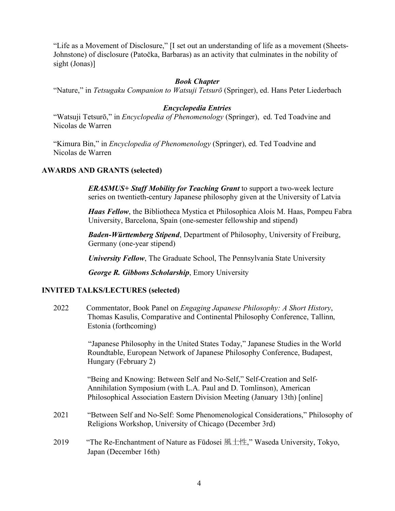"Life as a Movement of Disclosure," [I set out an understanding of life as a movement (Sheets-Johnstone) of disclosure (Patočka, Barbaras) as an activity that culminates in the nobility of sight (Jonas)]

# *Book Chapter*

"Nature," in *Tetsugaku Companion to Watsuji Tetsurō* (Springer), ed. Hans Peter Liederbach

# *Encyclopedia Entries*

"Watsuji Tetsurō," in *Encyclopedia of Phenomenology* (Springer), ed. Ted Toadvine and Nicolas de Warren

"Kimura Bin," in *Encyclopedia of Phenomenology* (Springer), ed. Ted Toadvine and Nicolas de Warren

# **AWARDS AND GRANTS (selected)**

*ERASMUS+ Staff Mobility for Teaching Grant* to support a two-week lecture series on twentieth-century Japanese philosophy given at the University of Latvia

*Haas Fellow*, the Bibliotheca Mystica et Philosophica Alois M. Haas, Pompeu Fabra University, Barcelona, Spain (one-semester fellowship and stipend)

*Baden-Württemberg Stipend*, Department of Philosophy, University of Freiburg, Germany (one-year stipend)

*University Fellow*, The Graduate School, The Pennsylvania State University

*George R. Gibbons Scholarship*, Emory University

### **INVITED TALKS/LECTURES (selected)**

2022 Commentator, Book Panel on *Engaging Japanese Philosophy: A Short History*, Thomas Kasulis, Comparative and Continental Philosophy Conference, Tallinn, Estonia (forthcoming)

> "Japanese Philosophy in the United States Today," Japanese Studies in the World Roundtable, European Network of Japanese Philosophy Conference, Budapest, Hungary (February 2)

"Being and Knowing: Between Self and No-Self," Self-Creation and Self-Annihilation Symposium (with L.A. Paul and D. Tomlinson), American Philosophical Association Eastern Division Meeting (January 13th) [online]

- 2021 "Between Self and No-Self: Some Phenomenological Considerations," Philosophy of Religions Workshop, University of Chicago (December 3rd)
- 2019 "The Re-Enchantment of Nature as Fūdosei 風土性," Waseda University, Tokyo, Japan (December 16th)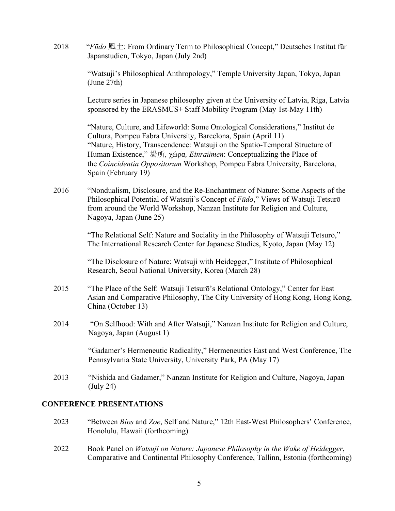2018 "*Fūdo* 風土: From Ordinary Term to Philosophical Concept," Deutsches Institut für Japanstudien, Tokyo, Japan (July 2nd)

> "Watsuji's Philosophical Anthropology," Temple University Japan, Tokyo, Japan (June 27th)

Lecture series in Japanese philosophy given at the University of Latvia, Riga, Latvia sponsored by the ERASMUS+ Staff Mobility Program (May 1st-May 11th)

"Nature, Culture, and Lifeworld: Some Ontological Considerations," Institut de Cultura, Pompeu Fabra University, Barcelona, Spain (April 11) "Nature, History, Transcendence: Watsuji on the Spatio-Temporal Structure of Human Existence," 場所*,* χώρα*, Einraümen*: Conceptualizing the Place of the *Coincidentia Oppositorum* Workshop, Pompeu Fabra University, Barcelona, Spain (February 19)

2016 "Nondualism, Disclosure, and the Re-Enchantment of Nature: Some Aspects of the Philosophical Potential of Watsuji's Concept of *Fūdo*," Views of Watsuji Tetsurō from around the World Workshop, Nanzan Institute for Religion and Culture, Nagoya, Japan (June 25)

> "The Relational Self: Nature and Sociality in the Philosophy of Watsuji Tetsurō," The International Research Center for Japanese Studies, Kyoto, Japan (May 12)

"The Disclosure of Nature: Watsuji with Heidegger," Institute of Philosophical Research, Seoul National University, Korea (March 28)

- 2015 "The Place of the Self: Watsuji Tetsurō's Relational Ontology," Center for East Asian and Comparative Philosophy, The City University of Hong Kong, Hong Kong, China (October 13)
- 2014 "On Selfhood: With and After Watsuji," Nanzan Institute for Religion and Culture, Nagoya, Japan (August 1)

"Gadamer's Hermeneutic Radicality," Hermeneutics East and West Conference, The Pennsylvania State University, University Park, PA (May 17)

2013 "Nishida and Gadamer," Nanzan Institute for Religion and Culture, Nagoya, Japan (July 24)

# **CONFERENCE PRESENTATIONS**

- 2023 "Between *Bios* and *Zoe*, Self and Nature," 12th East-West Philosophers' Conference, Honolulu, Hawaii (forthcoming)
- 2022 Book Panel on *Watsuji on Nature: Japanese Philosophy in the Wake of Heidegger*, Comparative and Continental Philosophy Conference, Tallinn, Estonia (forthcoming)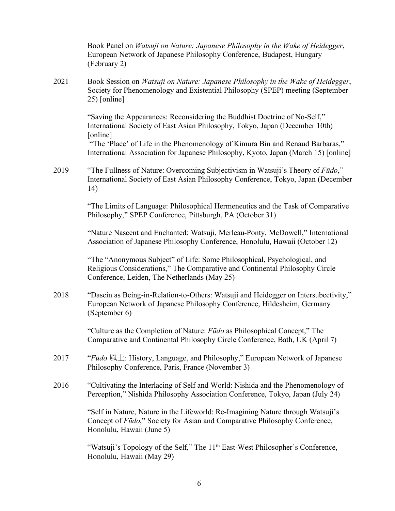|      | Book Panel on Watsuji on Nature: Japanese Philosophy in the Wake of Heidegger,<br>European Network of Japanese Philosophy Conference, Budapest, Hungary<br>(February 2)                                                                                |
|------|--------------------------------------------------------------------------------------------------------------------------------------------------------------------------------------------------------------------------------------------------------|
| 2021 | Book Session on Watsuji on Nature: Japanese Philosophy in the Wake of Heidegger,<br>Society for Phenomenology and Existential Philosophy (SPEP) meeting (September<br>25) [online]                                                                     |
|      | "Saving the Appearances: Reconsidering the Buddhist Doctrine of No-Self,"<br>International Society of East Asian Philosophy, Tokyo, Japan (December 10th)<br>[online]<br>"The 'Place' of Life in the Phenomenology of Kimura Bin and Renaud Barbaras," |
|      | International Association for Japanese Philosophy, Kyoto, Japan (March 15) [online]                                                                                                                                                                    |
| 2019 | "The Fullness of Nature: Overcoming Subjectivism in Watsuji's Theory of Fūdo,"<br>International Society of East Asian Philosophy Conference, Tokyo, Japan (December<br>14)                                                                             |
|      | "The Limits of Language: Philosophical Hermeneutics and the Task of Comparative<br>Philosophy," SPEP Conference, Pittsburgh, PA (October 31)                                                                                                           |
|      | "Nature Nascent and Enchanted: Watsuji, Merleau-Ponty, McDowell," International<br>Association of Japanese Philosophy Conference, Honolulu, Hawaii (October 12)                                                                                        |
|      | "The "Anonymous Subject" of Life: Some Philosophical, Psychological, and<br>Religious Considerations," The Comparative and Continental Philosophy Circle<br>Conference, Leiden, The Netherlands (May 25)                                               |
| 2018 | "Dasein as Being-in-Relation-to-Others: Watsuji and Heidegger on Intersubectivity,"<br>European Network of Japanese Philosophy Conference, Hildesheim, Germany<br>(September 6)                                                                        |
|      | "Culture as the Completion of Nature: Fūdo as Philosophical Concept," The<br>Comparative and Continental Philosophy Circle Conference, Bath, UK (April 7)                                                                                              |
| 2017 | "Fūdo $\mathbb{R}$ $\pm$ : History, Language, and Philosophy," European Network of Japanese<br>Philosophy Conference, Paris, France (November 3)                                                                                                       |
| 2016 | "Cultivating the Interlacing of Self and World: Nishida and the Phenomenology of<br>Perception," Nishida Philosophy Association Conference, Tokyo, Japan (July 24)                                                                                     |
|      | "Self in Nature, Nature in the Lifeworld: Re-Imagining Nature through Watsuji's<br>Concept of Fūdo," Society for Asian and Comparative Philosophy Conference,<br>Honolulu, Hawaii (June 5)                                                             |
|      | "Watsuji's Topology of the Self," The 11 <sup>th</sup> East-West Philosopher's Conference,<br>Honolulu, Hawaii (May 29)                                                                                                                                |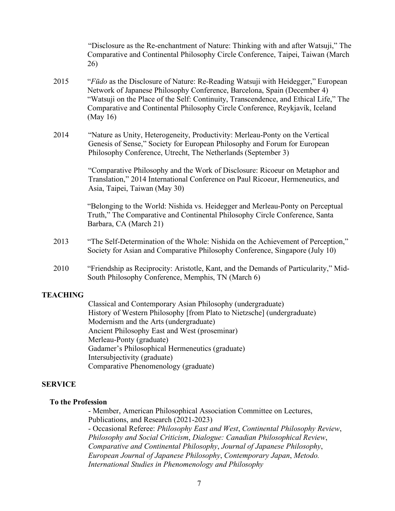"Disclosure as the Re-enchantment of Nature: Thinking with and after Watsuji," The Comparative and Continental Philosophy Circle Conference, Taipei, Taiwan (March 26)

- 2015 "*Fūdo* as the Disclosure of Nature: Re-Reading Watsuji with Heidegger," European Network of Japanese Philosophy Conference, Barcelona, Spain (December 4) "Watsuji on the Place of the Self: Continuity, Transcendence, and Ethical Life," The Comparative and Continental Philosophy Circle Conference, Reykjavík, Iceland (May 16)
- 2014 "Nature as Unity, Heterogeneity, Productivity: Merleau-Ponty on the Vertical Genesis of Sense," Society for European Philosophy and Forum for European Philosophy Conference, Utrecht, The Netherlands (September 3)

"Comparative Philosophy and the Work of Disclosure: Ricoeur on Metaphor and Translation," 2014 International Conference on Paul Ricoeur, Hermeneutics, and Asia, Taipei, Taiwan (May 30)

"Belonging to the World: Nishida vs. Heidegger and Merleau-Ponty on Perceptual Truth," The Comparative and Continental Philosophy Circle Conference, Santa Barbara, CA (March 21)

- 2013 "The Self-Determination of the Whole: Nishida on the Achievement of Perception," Society for Asian and Comparative Philosophy Conference, Singapore (July 10)
- 2010 "Friendship as Reciprocity: Aristotle, Kant, and the Demands of Particularity," Mid-South Philosophy Conference, Memphis, TN (March 6)

# **TEACHING**

Classical and Contemporary Asian Philosophy (undergraduate) History of Western Philosophy [from Plato to Nietzsche] (undergraduate) Modernism and the Arts (undergraduate) Ancient Philosophy East and West (proseminar) Merleau-Ponty (graduate) Gadamer's Philosophical Hermeneutics (graduate) Intersubjectivity (graduate) Comparative Phenomenology (graduate)

### **SERVICE**

### **To the Profession**

- Member, American Philosophical Association Committee on Lectures, Publications, and Research (2021-2023)

- Occasional Referee: *Philosophy East and West*, *Continental Philosophy Review*, *Philosophy and Social Criticism*, *Dialogue: Canadian Philosophical Review*, *Comparative and Continental Philosophy*, *Journal of Japanese Philosophy*, *European Journal of Japanese Philosophy*, *Contemporary Japan*, *Metodo. International Studies in Phenomenology and Philosophy*